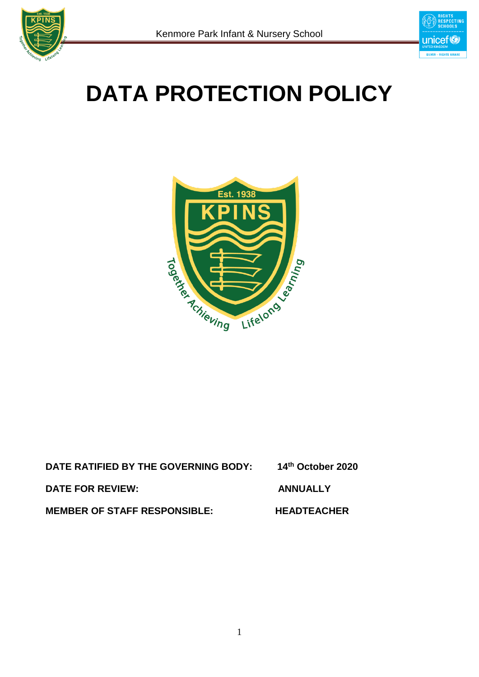



# **DATA PROTECTION POLICY**



| DATE RATIFIED BY THE GOVERNING BODY: | 14th October 2020  |
|--------------------------------------|--------------------|
| DATE FOR REVIEW:                     | <b>ANNUALLY</b>    |
| <b>MEMBER OF STAFF RESPONSIBLE:</b>  | <b>HEADTEACHER</b> |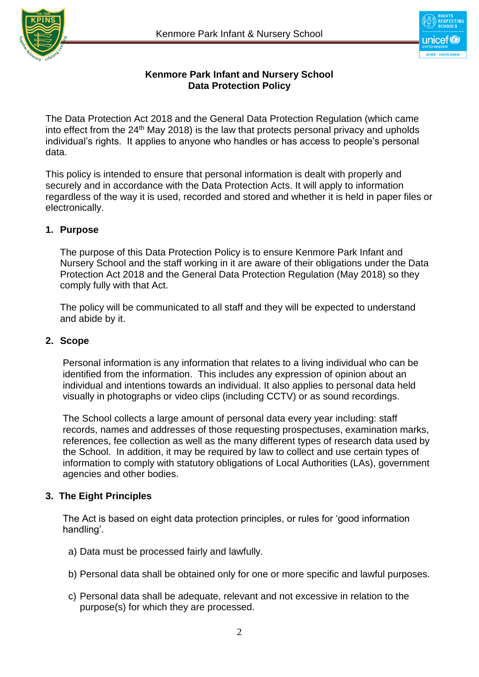



#### **Kenmore Park Infant and Nursery School Data Protection Policy**

The Data Protection Act 2018 and the General Data Protection Regulation (which came into effect from the 24<sup>th</sup> May 2018) is the law that protects personal privacy and upholds individual's rights. It applies to anyone who handles or has access to people's personal data.

This policy is intended to ensure that personal information is dealt with properly and securely and in accordance with the Data Protection Acts. It will apply to information regardless of the way it is used, recorded and stored and whether it is held in paper files or electronically.

#### **1. Purpose**

The purpose of this Data Protection Policy is to ensure Kenmore Park Infant and Nursery School and the staff working in it are aware of their obligations under the Data Protection Act 2018 and the General Data Protection Regulation (May 2018) so they comply fully with that Act.

The policy will be communicated to all staff and they will be expected to understand and abide by it.

#### **2. Scope**

Personal information is any information that relates to a living individual who can be identified from the information. This includes any expression of opinion about an individual and intentions towards an individual. It also applies to personal data held visually in photographs or video clips (including CCTV) or as sound recordings.

The School collects a large amount of personal data every year including: staff records, names and addresses of those requesting prospectuses, examination marks, references, fee collection as well as the many different types of research data used by the School. In addition, it may be required by law to collect and use certain types of information to comply with statutory obligations of Local Authorities (LAs), government agencies and other bodies.

#### **3. The Eight Principles**

The Act is based on eight data protection principles, or rules for 'good information handling'.

- a) Data must be processed fairly and lawfully.
- b) Personal data shall be obtained only for one or more specific and lawful purposes.
- c) Personal data shall be adequate, relevant and not excessive in relation to the purpose(s) for which they are processed.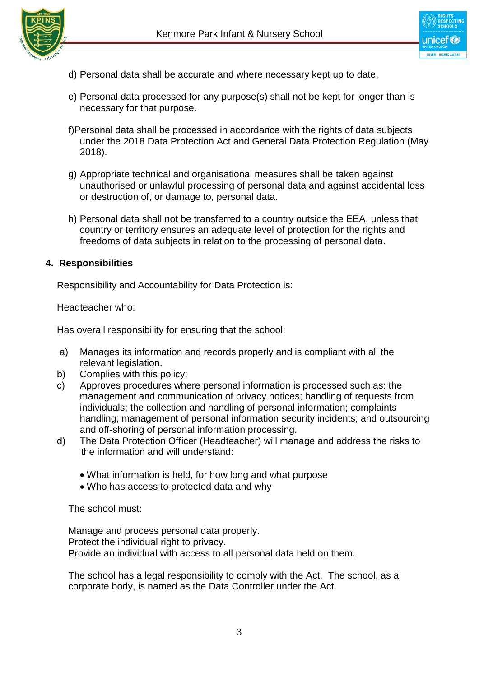



- d) Personal data shall be accurate and where necessary kept up to date.
- e) Personal data processed for any purpose(s) shall not be kept for longer than is necessary for that purpose.
- f)Personal data shall be processed in accordance with the rights of data subjects under the 2018 Data Protection Act and General Data Protection Regulation (May 2018).
- g) Appropriate technical and organisational measures shall be taken against unauthorised or unlawful processing of personal data and against accidental loss or destruction of, or damage to, personal data.
- h) Personal data shall not be transferred to a country outside the EEA, unless that country or territory ensures an adequate level of protection for the rights and freedoms of data subjects in relation to the processing of personal data.

#### **4. Responsibilities**

Responsibility and Accountability for Data Protection is:

Headteacher who:

Has overall responsibility for ensuring that the school:

- a) Manages its information and records properly and is compliant with all the relevant legislation.
- b) Complies with this policy;
- c) Approves procedures where personal information is processed such as: the management and communication of privacy notices; handling of requests from individuals; the collection and handling of personal information; complaints handling; management of personal information security incidents; and outsourcing and off-shoring of personal information processing.
- d) The Data Protection Officer (Headteacher) will manage and address the risks to the information and will understand:
	- What information is held, for how long and what purpose
	- Who has access to protected data and why

The school must:

Manage and process personal data properly. Protect the individual right to privacy. Provide an individual with access to all personal data held on them.

 The school has a legal responsibility to comply with the Act. The school, as a corporate body, is named as the Data Controller under the Act.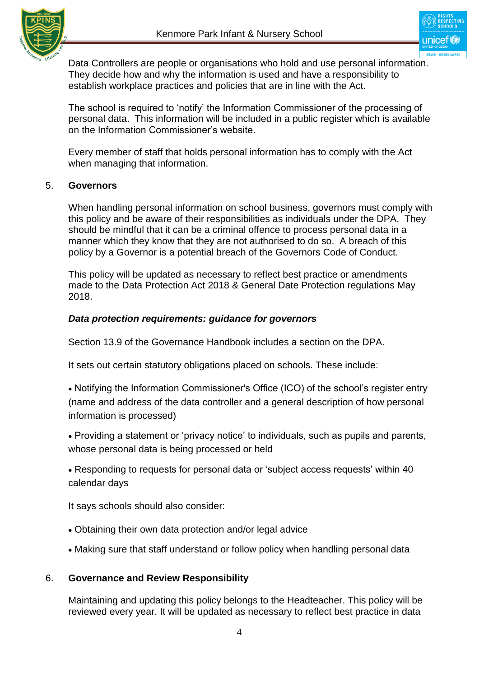

unicef

 Data Controllers are people or organisations who hold and use personal information. They decide how and why the information is used and have a responsibility to establish workplace practices and policies that are in line with the Act.

The school is required to 'notify' the Information Commissioner of the processing of personal data. This information will be included in a public register which is available on the Information Commissioner's website.

Every member of staff that holds personal information has to comply with the Act when managing that information.

#### 5. **Governors**

When handling personal information on school business, governors must comply with this policy and be aware of their responsibilities as individuals under the DPA. They should be mindful that it can be a criminal offence to process personal data in a manner which they know that they are not authorised to do so. A breach of this policy by a Governor is a potential breach of the Governors Code of Conduct.

This policy will be updated as necessary to reflect best practice or amendments made to the Data Protection Act 2018 & General Date Protection regulations May 2018.

#### *Data protection requirements: guidance for governors*

Section 13.9 of the Governance Handbook includes a section on the DPA.

It sets out certain statutory obligations placed on schools. These include:

 Notifying the Information Commissioner's Office (ICO) of the school's register entry (name and address of the data controller and a general description of how personal information is processed)

 Providing a statement or 'privacy notice' to individuals, such as pupils and parents, whose personal data is being processed or held

 Responding to requests for personal data or 'subject access requests' within 40 calendar days

It says schools should also consider:

- Obtaining their own data protection and/or legal advice
- Making sure that staff understand or follow policy when handling personal data

#### 6. **Governance and Review Responsibility**

Maintaining and updating this policy belongs to the Headteacher. This policy will be reviewed every year. It will be updated as necessary to reflect best practice in data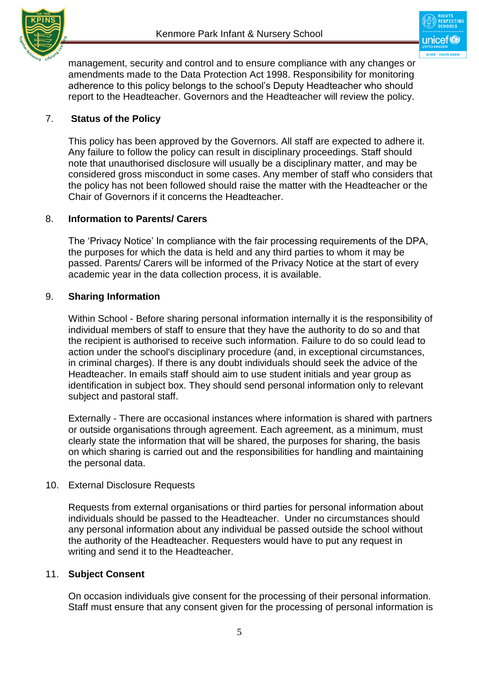

management, security and control and to ensure compliance with any changes or amendments made to the Data Protection Act 1998. Responsibility for monitoring adherence to this policy belongs to the school's Deputy Headteacher who should report to the Headteacher. Governors and the Headteacher will review the policy.

#### 7. **Status of the Policy**

This policy has been approved by the Governors. All staff are expected to adhere it. Any failure to follow the policy can result in disciplinary proceedings. Staff should note that unauthorised disclosure will usually be a disciplinary matter, and may be considered gross misconduct in some cases. Any member of staff who considers that the policy has not been followed should raise the matter with the Headteacher or the Chair of Governors if it concerns the Headteacher.

#### 8. **Information to Parents/ Carers**

The 'Privacy Notice' In compliance with the fair processing requirements of the DPA, the purposes for which the data is held and any third parties to whom it may be passed. Parents/ Carers will be informed of the Privacy Notice at the start of every academic year in the data collection process, it is available.

#### 9. **Sharing Information**

Within School - Before sharing personal information internally it is the responsibility of individual members of staff to ensure that they have the authority to do so and that the recipient is authorised to receive such information. Failure to do so could lead to action under the school's disciplinary procedure (and, in exceptional circumstances, in criminal charges). If there is any doubt individuals should seek the advice of the Headteacher. In emails staff should aim to use student initials and year group as identification in subject box. They should send personal information only to relevant subject and pastoral staff.

Externally - There are occasional instances where information is shared with partners or outside organisations through agreement. Each agreement, as a minimum, must clearly state the information that will be shared, the purposes for sharing, the basis on which sharing is carried out and the responsibilities for handling and maintaining the personal data.

#### 10. External Disclosure Requests

Requests from external organisations or third parties for personal information about individuals should be passed to the Headteacher. Under no circumstances should any personal information about any individual be passed outside the school without the authority of the Headteacher. Requesters would have to put any request in writing and send it to the Headteacher.

#### 11. **Subject Consent**

On occasion individuals give consent for the processing of their personal information. Staff must ensure that any consent given for the processing of personal information is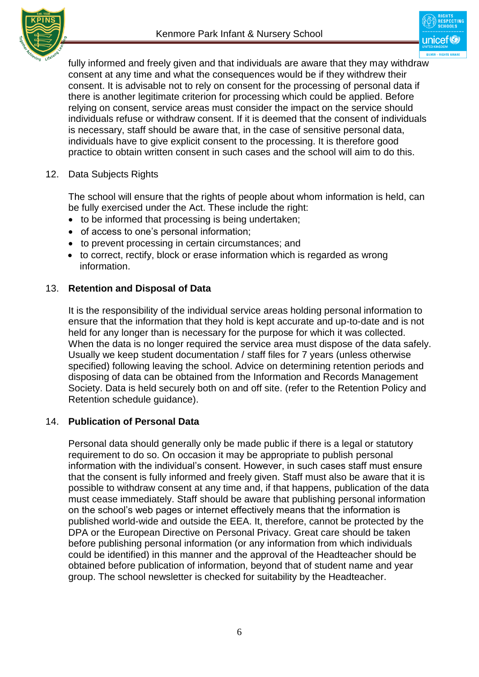

unicef

fully informed and freely given and that individuals are aware that they may withdraw consent at any time and what the consequences would be if they withdrew their consent. It is advisable not to rely on consent for the processing of personal data if there is another legitimate criterion for processing which could be applied. Before relying on consent, service areas must consider the impact on the service should individuals refuse or withdraw consent. If it is deemed that the consent of individuals is necessary, staff should be aware that, in the case of sensitive personal data, individuals have to give explicit consent to the processing. It is therefore good practice to obtain written consent in such cases and the school will aim to do this.

#### 12. Data Subjects Rights

The school will ensure that the rights of people about whom information is held, can be fully exercised under the Act. These include the right:

- to be informed that processing is being undertaken;
- of access to one's personal information;
- to prevent processing in certain circumstances; and
- to correct, rectify, block or erase information which is regarded as wrong information.

#### 13. **Retention and Disposal of Data**

It is the responsibility of the individual service areas holding personal information to ensure that the information that they hold is kept accurate and up-to-date and is not held for any longer than is necessary for the purpose for which it was collected. When the data is no longer required the service area must dispose of the data safely. Usually we keep student documentation / staff files for 7 years (unless otherwise specified) following leaving the school. Advice on determining retention periods and disposing of data can be obtained from the Information and Records Management Society. Data is held securely both on and off site. (refer to the Retention Policy and Retention schedule guidance).

#### 14. **Publication of Personal Data**

Personal data should generally only be made public if there is a legal or statutory requirement to do so. On occasion it may be appropriate to publish personal information with the individual's consent. However, in such cases staff must ensure that the consent is fully informed and freely given. Staff must also be aware that it is possible to withdraw consent at any time and, if that happens, publication of the data must cease immediately. Staff should be aware that publishing personal information on the school's web pages or internet effectively means that the information is published world-wide and outside the EEA. It, therefore, cannot be protected by the DPA or the European Directive on Personal Privacy. Great care should be taken before publishing personal information (or any information from which individuals could be identified) in this manner and the approval of the Headteacher should be obtained before publication of information, beyond that of student name and year group. The school newsletter is checked for suitability by the Headteacher.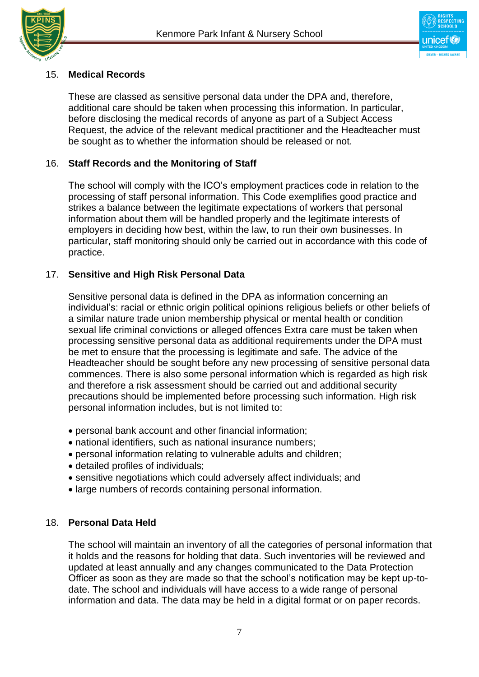



#### 15. **Medical Records**

These are classed as sensitive personal data under the DPA and, therefore, additional care should be taken when processing this information. In particular, before disclosing the medical records of anyone as part of a Subject Access Request, the advice of the relevant medical practitioner and the Headteacher must be sought as to whether the information should be released or not.

#### 16. **Staff Records and the Monitoring of Staff**

The school will comply with the ICO's employment practices code in relation to the processing of staff personal information. This Code exemplifies good practice and strikes a balance between the legitimate expectations of workers that personal information about them will be handled properly and the legitimate interests of employers in deciding how best, within the law, to run their own businesses. In particular, staff monitoring should only be carried out in accordance with this code of practice.

#### 17. **Sensitive and High Risk Personal Data**

Sensitive personal data is defined in the DPA as information concerning an individual's: racial or ethnic origin political opinions religious beliefs or other beliefs of a similar nature trade union membership physical or mental health or condition sexual life criminal convictions or alleged offences Extra care must be taken when processing sensitive personal data as additional requirements under the DPA must be met to ensure that the processing is legitimate and safe. The advice of the Headteacher should be sought before any new processing of sensitive personal data commences. There is also some personal information which is regarded as high risk and therefore a risk assessment should be carried out and additional security precautions should be implemented before processing such information. High risk personal information includes, but is not limited to:

- personal bank account and other financial information;
- national identifiers, such as national insurance numbers;
- personal information relating to vulnerable adults and children;
- detailed profiles of individuals;
- sensitive negotiations which could adversely affect individuals; and
- large numbers of records containing personal information.

#### 18. **Personal Data Held**

The school will maintain an inventory of all the categories of personal information that it holds and the reasons for holding that data. Such inventories will be reviewed and updated at least annually and any changes communicated to the Data Protection Officer as soon as they are made so that the school's notification may be kept up-todate. The school and individuals will have access to a wide range of personal information and data. The data may be held in a digital format or on paper records.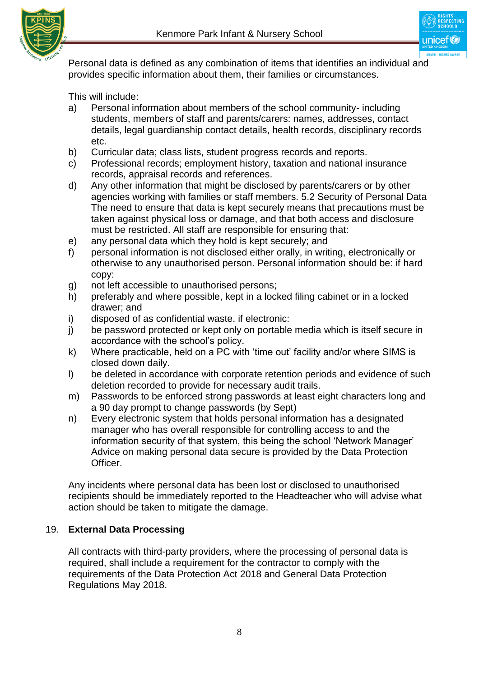

Personal data is defined as any combination of items that identifies an individual and provides specific information about them, their families or circumstances.

This will include:

- a) Personal information about members of the school community- including students, members of staff and parents/carers: names, addresses, contact details, legal guardianship contact details, health records, disciplinary records etc.
- b) Curricular data; class lists, student progress records and reports.
- c) Professional records; employment history, taxation and national insurance records, appraisal records and references.
- d) Any other information that might be disclosed by parents/carers or by other agencies working with families or staff members. 5.2 Security of Personal Data The need to ensure that data is kept securely means that precautions must be taken against physical loss or damage, and that both access and disclosure must be restricted. All staff are responsible for ensuring that:
- e) any personal data which they hold is kept securely; and
- f) personal information is not disclosed either orally, in writing, electronically or otherwise to any unauthorised person. Personal information should be: if hard copy:
- g) not left accessible to unauthorised persons;
- h) preferably and where possible, kept in a locked filing cabinet or in a locked drawer; and
- i) disposed of as confidential waste. if electronic:
- j) be password protected or kept only on portable media which is itself secure in accordance with the school's policy.
- k) Where practicable, held on a PC with 'time out' facility and/or where SIMS is closed down daily.
- l) be deleted in accordance with corporate retention periods and evidence of such deletion recorded to provide for necessary audit trails.
- m) Passwords to be enforced strong passwords at least eight characters long and a 90 day prompt to change passwords (by Sept)
- n) Every electronic system that holds personal information has a designated manager who has overall responsible for controlling access to and the information security of that system, this being the school 'Network Manager' Advice on making personal data secure is provided by the Data Protection Officer.

Any incidents where personal data has been lost or disclosed to unauthorised recipients should be immediately reported to the Headteacher who will advise what action should be taken to mitigate the damage.

### 19. **External Data Processing**

All contracts with third-party providers, where the processing of personal data is required, shall include a requirement for the contractor to comply with the requirements of the Data Protection Act 2018 and General Data Protection Regulations May 2018.